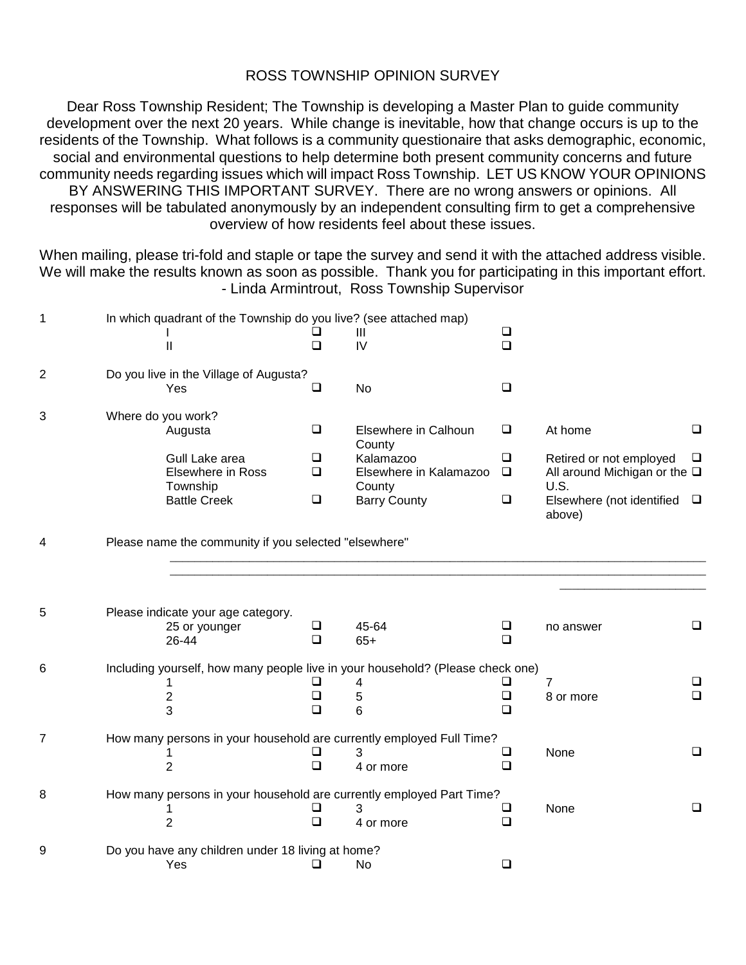## ROSS TOWNSHIP OPINION SURVEY

Dear Ross Township Resident; The Township is developing a Master Plan to guide community development over the next 20 years. While change is inevitable, how that change occurs is up to the residents of the Township. What follows is a community questionaire that asks demographic, economic, social and environmental questions to help determine both present community concerns and future community needs regarding issues which will impact Ross Township. LET US KNOW YOUR OPINIONS BY ANSWERING THIS IMPORTANT SURVEY. There are no wrong answers or opinions. All responses will be tabulated anonymously by an independent consulting firm to get a comprehensive overview of how residents feel about these issues.

When mailing, please tri-fold and staple or tape the survey and send it with the attached address visible. We will make the results known as soon as possible. Thank you for participating in this important effort. - Linda Armintrout, Ross Township Supervisor

| $\mathbf 1$ |                                                                                | In which quadrant of the Township do you live? (see attached map) |        |                                                                      |        |                                               |        |  |  |
|-------------|--------------------------------------------------------------------------------|-------------------------------------------------------------------|--------|----------------------------------------------------------------------|--------|-----------------------------------------------|--------|--|--|
|             |                                                                                |                                                                   | ப      | Ш                                                                    | $\Box$ |                                               |        |  |  |
|             |                                                                                | $\mathbf{I}$                                                      | $\Box$ | IV                                                                   | $\Box$ |                                               |        |  |  |
| 2           |                                                                                | Do you live in the Village of Augusta?                            |        |                                                                      |        |                                               |        |  |  |
|             |                                                                                | Yes                                                               | $\Box$ | No                                                                   | $\Box$ |                                               |        |  |  |
| 3           | Where do you work?                                                             |                                                                   |        |                                                                      |        |                                               |        |  |  |
|             |                                                                                | Augusta                                                           | $\Box$ | Elsewhere in Calhoun<br>County                                       | $\Box$ | At home                                       | $\Box$ |  |  |
|             |                                                                                | Gull Lake area                                                    | □      | Kalamazoo                                                            | $\Box$ | Retired or not employed                       | $\Box$ |  |  |
|             |                                                                                | Elsewhere in Ross                                                 | $\Box$ | Elsewhere in Kalamazoo                                               | $\Box$ | All around Michigan or the $\square$          |        |  |  |
|             |                                                                                | Township                                                          |        | County                                                               |        | U.S.                                          |        |  |  |
|             |                                                                                | <b>Battle Creek</b>                                               | $\Box$ | <b>Barry County</b>                                                  | $\Box$ | Elsewhere (not identified $\square$<br>above) |        |  |  |
| 4           |                                                                                | Please name the community if you selected "elsewhere"             |        |                                                                      |        |                                               |        |  |  |
|             |                                                                                |                                                                   |        |                                                                      |        |                                               |        |  |  |
|             |                                                                                |                                                                   |        |                                                                      |        |                                               |        |  |  |
| 5           |                                                                                | Please indicate your age category.                                |        |                                                                      |        |                                               |        |  |  |
|             |                                                                                | 25 or younger                                                     | □      | 45-64                                                                | $\Box$ | no answer                                     | $\Box$ |  |  |
|             |                                                                                | 26-44                                                             | $\Box$ | $65+$                                                                | $\Box$ |                                               |        |  |  |
| 6           | Including yourself, how many people live in your household? (Please check one) |                                                                   |        |                                                                      |        |                                               |        |  |  |
|             |                                                                                | 1                                                                 | ⊔      | 4                                                                    | ❏      | 7                                             | $\Box$ |  |  |
|             |                                                                                | $\overline{c}$                                                    | ❏      | 5                                                                    | $\Box$ | 8 or more                                     | $\Box$ |  |  |
|             |                                                                                | 3                                                                 | □      | 6                                                                    | □      |                                               |        |  |  |
| 7           | How many persons in your household are currently employed Full Time?           |                                                                   |        |                                                                      |        |                                               |        |  |  |
|             |                                                                                |                                                                   | ⊔      | 3                                                                    | $\Box$ | None                                          | $\Box$ |  |  |
|             |                                                                                | $\overline{2}$                                                    | $\Box$ | 4 or more                                                            | $\Box$ |                                               |        |  |  |
| 8           |                                                                                |                                                                   |        | How many persons in your household are currently employed Part Time? |        |                                               |        |  |  |
|             |                                                                                |                                                                   | ❏      | 3                                                                    | $\Box$ | None                                          | $\Box$ |  |  |
|             |                                                                                | $\overline{2}$                                                    | $\Box$ | 4 or more                                                            | ❏      |                                               |        |  |  |
| 9           |                                                                                | Do you have any children under 18 living at home?                 |        |                                                                      |        |                                               |        |  |  |
|             |                                                                                | Yes                                                               | ⊔      | No                                                                   | $\Box$ |                                               |        |  |  |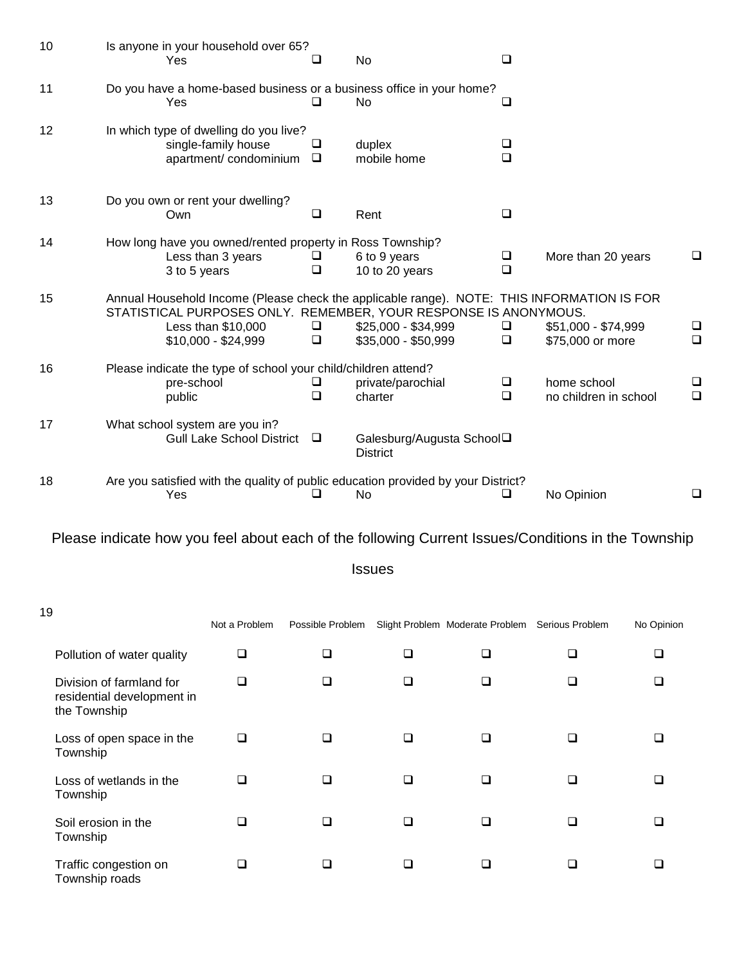| 10 | Is anyone in your household over 65?<br>Yes                                                                                                                                                                 | ப           | No                                           | □           |                                         |             |
|----|-------------------------------------------------------------------------------------------------------------------------------------------------------------------------------------------------------------|-------------|----------------------------------------------|-------------|-----------------------------------------|-------------|
| 11 | Do you have a home-based business or a business office in your home?<br>Yes                                                                                                                                 | □           | No                                           | ❏           |                                         |             |
| 12 | In which type of dwelling do you live?<br>single-family house<br>apartment/condominium                                                                                                                      | ❏<br>$\Box$ | duplex<br>mobile home                        | ❏<br>$\Box$ |                                         |             |
| 13 | Do you own or rent your dwelling?<br>Own                                                                                                                                                                    | ❏           | Rent                                         | $\Box$      |                                         |             |
| 14 | How long have you owned/rented property in Ross Township?<br>Less than 3 years<br>3 to 5 years                                                                                                              | ⊔<br>□      | 6 to 9 years<br>10 to 20 years               | ❏<br>$\Box$ | More than 20 years                      | ❏           |
| 15 | Annual Household Income (Please check the applicable range). NOTE: THIS INFORMATION IS FOR<br>STATISTICAL PURPOSES ONLY. REMEMBER, YOUR RESPONSE IS ANONYMOUS.<br>Less than \$10,000<br>$$10,000 - $24,999$ | ❏<br>$\Box$ | \$25,000 - \$34,999<br>$$35,000 - $50,999$   | ❏<br>$\Box$ | \$51,000 - \$74,999<br>\$75,000 or more | ❏<br>$\Box$ |
| 16 | Please indicate the type of school your child/children attend?<br>pre-school<br>public                                                                                                                      | ⊔<br>$\Box$ | private/parochial<br>charter                 | ❏<br>$\Box$ | home school<br>no children in school    | $\Box$      |
| 17 | What school system are you in?<br><b>Gull Lake School District</b>                                                                                                                                          | $\Box$      | Galesburg/Augusta School□<br><b>District</b> |             |                                         |             |
| 18 | Are you satisfied with the quality of public education provided by your District?<br>Yes                                                                                                                    | ⊔           | No                                           | ⊔           | No Opinion                              | ❏           |

## Please indicate how you feel about each of the following Current Issues/Conditions in the Township

Issues

| 19 |                                                                        |               |                  |   |                                                 |   |            |
|----|------------------------------------------------------------------------|---------------|------------------|---|-------------------------------------------------|---|------------|
|    |                                                                        | Not a Problem | Possible Problem |   | Slight Problem Moderate Problem Serious Problem |   | No Opinion |
|    | Pollution of water quality                                             | ❏             | ❏                | ❏ |                                                 |   |            |
|    | Division of farmland for<br>residential development in<br>the Township | □             | ❏                | ∩ | ⊓                                               | ∩ |            |
|    | Loss of open space in the<br>Township                                  | ◻             | □                | ⊓ |                                                 |   |            |
|    | Loss of wetlands in the<br>Township                                    | ∩             | ❏                | □ | ⊓                                               | n |            |
|    | Soil erosion in the<br>Township                                        | ⊓             | □                | n |                                                 |   |            |
|    | Traffic congestion on<br>Township roads                                | □             | n                |   |                                                 |   |            |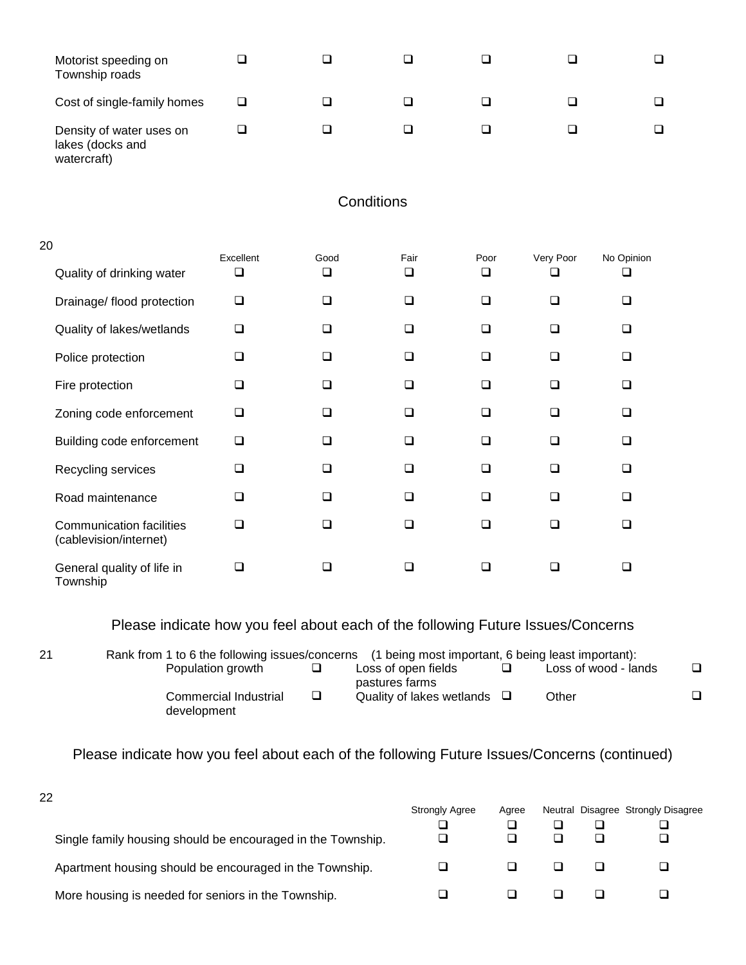| Motorist speeding on<br>Township roads                      |  |  |  |
|-------------------------------------------------------------|--|--|--|
| Cost of single-family homes                                 |  |  |  |
| Density of water uses on<br>lakes (docks and<br>watercraft) |  |  |  |

## **Conditions**

| 20                                                        | Excellent | Good   | Fair | Poor   | Very Poor | No Opinion |  |
|-----------------------------------------------------------|-----------|--------|------|--------|-----------|------------|--|
| Quality of drinking water                                 | ❏         | ❏      | □    | □      | ◻         |            |  |
| Drainage/ flood protection                                | ❏         | $\Box$ | □    | $\Box$ | □         | □          |  |
| Quality of lakes/wetlands                                 | ❏         | $\Box$ | □    | $\Box$ | □         | n          |  |
| Police protection                                         | ❏         | $\Box$ | □    | □      | ◻         | □          |  |
| Fire protection                                           | ❏         | □      | □    | □      | □         | □          |  |
| Zoning code enforcement                                   | $\Box$    | $\Box$ | ❏    | □      | □         | □          |  |
| Building code enforcement                                 | ❏         | □      | ❏    | $\Box$ | □         | □          |  |
| Recycling services                                        | ◻         | □      | □    | □      | □         | $\Box$     |  |
| Road maintenance                                          | □         | □      | □    | $\Box$ | □         | n          |  |
| <b>Communication facilities</b><br>(cablevision/internet) | □         | □      |      | □      | □         |            |  |
| General quality of life in<br>Township                    | □         |        |      | ∩      |           |            |  |

## Please indicate how you feel about each of the following Future Issues/Concerns

21 Rank from 1 to 6 the following issues/concerns (1 being most important, 6 being least important):<br>Population growth □ Loss of open fields □ Loss of wood - lar Loss of open fields pastures farms  $\square$   $\qquad \qquad$  Loss of wood - lands  $\square$ Commercial Industrial development  $\Box$  Quality of lakes wetlands  $\Box$  Other  $\Box$ 

Please indicate how you feel about each of the following Future Issues/Concerns (continued)

| 22                                                          |                       |       |  |                                    |
|-------------------------------------------------------------|-----------------------|-------|--|------------------------------------|
|                                                             | <b>Strongly Agree</b> | Agree |  | Neutral Disagree Strongly Disagree |
|                                                             |                       |       |  |                                    |
| Single family housing should be encouraged in the Township. |                       |       |  |                                    |
| Apartment housing should be encouraged in the Township.     |                       |       |  |                                    |
| More housing is needed for seniors in the Township.         |                       |       |  |                                    |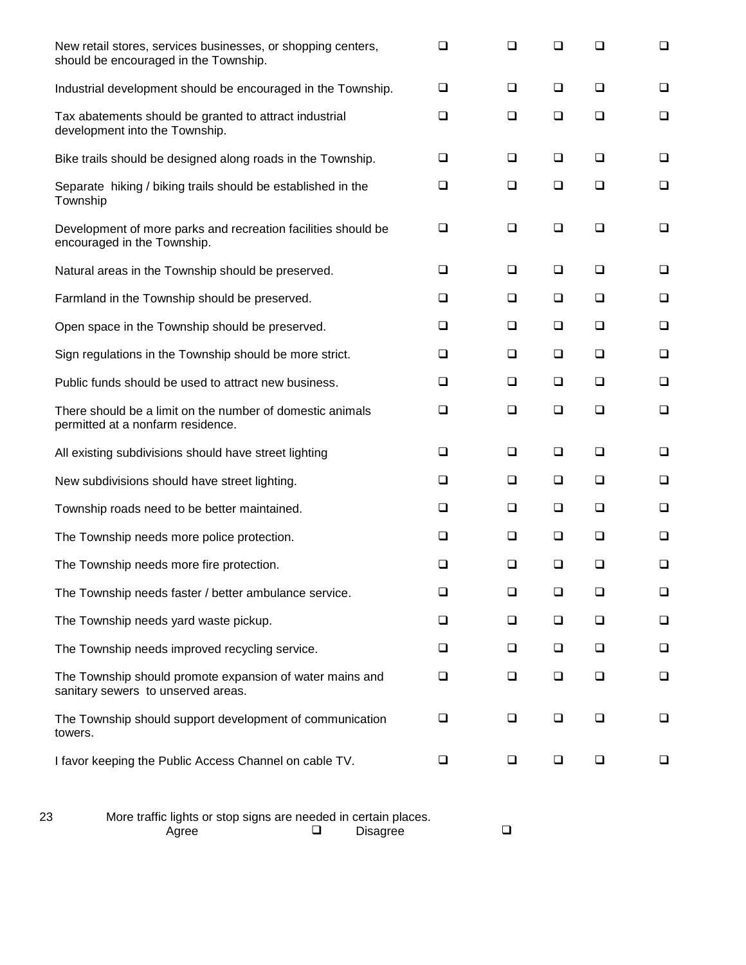| New retail stores, services businesses, or shopping centers,<br>should be encouraged in the Township. | $\Box$ | ❏      | ❏      | ❏      | $\Box$ |
|-------------------------------------------------------------------------------------------------------|--------|--------|--------|--------|--------|
| Industrial development should be encouraged in the Township.                                          | $\Box$ | $\Box$ | $\Box$ | $\Box$ | $\Box$ |
| Tax abatements should be granted to attract industrial<br>development into the Township.              | $\Box$ | $\Box$ | $\Box$ | □      | $\Box$ |
| Bike trails should be designed along roads in the Township.                                           | ❏      | $\Box$ | $\Box$ | $\Box$ | $\Box$ |
| Separate hiking / biking trails should be established in the<br>Township                              | $\Box$ | $\Box$ | $\Box$ | $\Box$ | $\Box$ |
| Development of more parks and recreation facilities should be<br>encouraged in the Township.          | $\Box$ | $\Box$ | $\Box$ | $\Box$ | $\Box$ |
| Natural areas in the Township should be preserved.                                                    | $\Box$ | $\Box$ | $\Box$ | □      | $\Box$ |
| Farmland in the Township should be preserved.                                                         | $\Box$ | $\Box$ | $\Box$ | ❏      | $\Box$ |
| Open space in the Township should be preserved.                                                       | $\Box$ | $\Box$ | $\Box$ | $\Box$ | $\Box$ |
| Sign regulations in the Township should be more strict.                                               | $\Box$ | $\Box$ | $\Box$ | $\Box$ | $\Box$ |
| Public funds should be used to attract new business.                                                  | $\Box$ | $\Box$ | $\Box$ | $\Box$ | $\Box$ |
| There should be a limit on the number of domestic animals<br>permitted at a nonfarm residence.        | $\Box$ | $\Box$ | $\Box$ | $\Box$ | $\Box$ |
| All existing subdivisions should have street lighting                                                 | $\Box$ | $\Box$ | $\Box$ | $\Box$ | $\Box$ |
| New subdivisions should have street lighting.                                                         | $\Box$ | ❏      | $\Box$ | $\Box$ | $\Box$ |
| Township roads need to be better maintained.                                                          | $\Box$ | $\Box$ | $\Box$ | $\Box$ | $\Box$ |
| The Township needs more police protection.                                                            | $\Box$ | $\Box$ | $\Box$ | $\Box$ | $\Box$ |
| The Township needs more fire protection.                                                              | ❏      | ❏      | ❏      | ❏      | $\Box$ |
| The Township needs faster / better ambulance service.                                                 | $\Box$ | ⊔      | ❏      | ப      | ❏      |
| The Township needs yard waste pickup.                                                                 | $\Box$ | ⊔      | $\Box$ | ப      | ❏      |
| The Township needs improved recycling service.                                                        | ❏      | ❏      | $\Box$ | □      | $\Box$ |
| The Township should promote expansion of water mains and<br>sanitary sewers to unserved areas.        | $\Box$ | $\Box$ | $\Box$ | ❏      | $\Box$ |
| The Township should support development of communication<br>towers.                                   | $\Box$ | $\Box$ | ❏      | ❏      | $\Box$ |
| I favor keeping the Public Access Channel on cable TV.                                                | $\Box$ | ⊔      | ❏      | ❏      | ❏      |
|                                                                                                       |        |        |        |        |        |

| 23 | More traffic lights or stop signs are needed in certain places. |  |          |  |
|----|-----------------------------------------------------------------|--|----------|--|
|    | Agree                                                           |  | Disagree |  |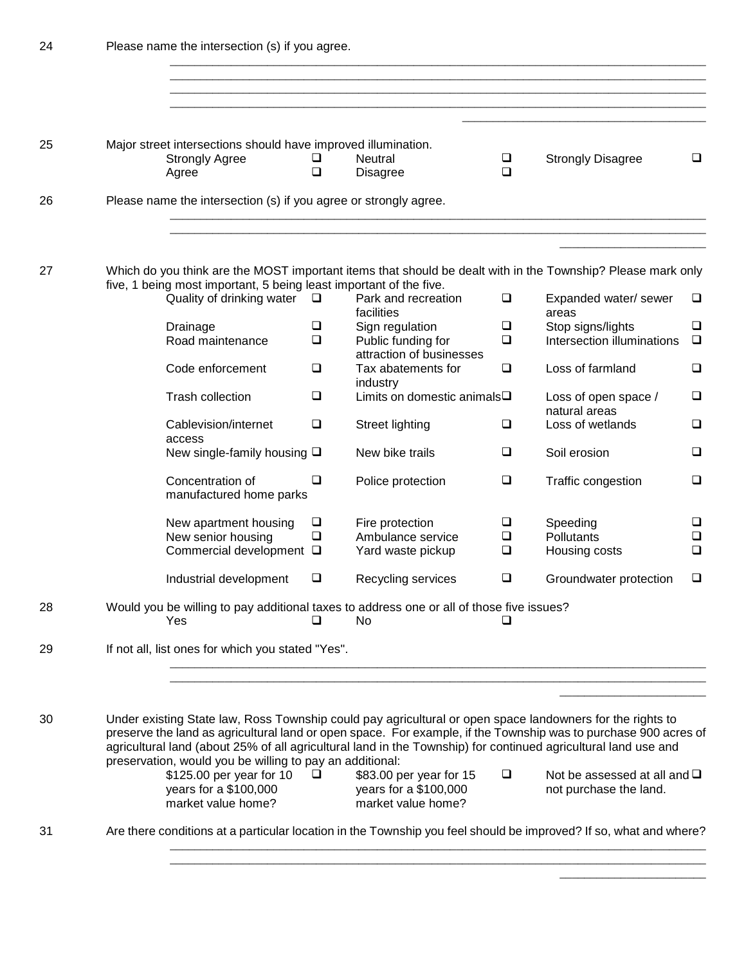| 24 | Please name the intersection (s) if you agree. |                                                                                                 |                  |                                                                        |                       |                                                                                                                                                                                                                                                                                                                                                |                       |  |  |  |
|----|------------------------------------------------|-------------------------------------------------------------------------------------------------|------------------|------------------------------------------------------------------------|-----------------------|------------------------------------------------------------------------------------------------------------------------------------------------------------------------------------------------------------------------------------------------------------------------------------------------------------------------------------------------|-----------------------|--|--|--|
|    |                                                |                                                                                                 |                  |                                                                        |                       |                                                                                                                                                                                                                                                                                                                                                |                       |  |  |  |
|    |                                                |                                                                                                 |                  |                                                                        |                       |                                                                                                                                                                                                                                                                                                                                                |                       |  |  |  |
| 25 |                                                | Major street intersections should have improved illumination.<br><b>Strongly Agree</b><br>Agree | ❏<br>$\Box$      | <b>Neutral</b><br><b>Disagree</b>                                      | $\Box$<br>$\Box$      | <b>Strongly Disagree</b>                                                                                                                                                                                                                                                                                                                       | $\Box$                |  |  |  |
| 26 |                                                | Please name the intersection (s) if you agree or strongly agree.                                |                  |                                                                        |                       |                                                                                                                                                                                                                                                                                                                                                |                       |  |  |  |
| 27 |                                                |                                                                                                 |                  |                                                                        |                       | Which do you think are the MOST important items that should be dealt with in the Township? Please mark only                                                                                                                                                                                                                                    |                       |  |  |  |
|    |                                                | five, 1 being most important, 5 being least important of the five.<br>Quality of drinking water | $\Box$           | Park and recreation                                                    | $\Box$                | Expanded water/ sewer                                                                                                                                                                                                                                                                                                                          | ❏                     |  |  |  |
|    |                                                | Drainage<br>Road maintenance                                                                    | $\Box$<br>$\Box$ | facilities<br>Sign regulation<br>Public funding for                    | $\Box$<br>$\Box$      | areas<br>Stop signs/lights<br>Intersection illuminations                                                                                                                                                                                                                                                                                       | $\Box$<br>$\Box$      |  |  |  |
|    |                                                | Code enforcement                                                                                | $\Box$           | attraction of businesses<br>Tax abatements for<br>industry             | $\Box$                | Loss of farmland                                                                                                                                                                                                                                                                                                                               | $\Box$                |  |  |  |
|    |                                                | Trash collection                                                                                | $\Box$           | Limits on domestic animals <sup>I</sup>                                |                       | Loss of open space /<br>natural areas                                                                                                                                                                                                                                                                                                          | $\Box$                |  |  |  |
|    |                                                | Cablevision/internet<br>access                                                                  | $\Box$           | Street lighting                                                        | $\Box$                | Loss of wetlands                                                                                                                                                                                                                                                                                                                               | $\Box$                |  |  |  |
|    |                                                | New single-family housing $\square$                                                             |                  | New bike trails                                                        | $\Box$                | Soil erosion                                                                                                                                                                                                                                                                                                                                   | $\Box$                |  |  |  |
|    |                                                | Concentration of<br>manufactured home parks                                                     | $\Box$           | Police protection                                                      | $\Box$                | Traffic congestion                                                                                                                                                                                                                                                                                                                             | $\Box$                |  |  |  |
|    |                                                | New apartment housing<br>New senior housing<br>Commercial development □                         | $\Box$<br>$\Box$ | Fire protection<br>Ambulance service<br>Yard waste pickup              | ❏<br>$\Box$<br>$\Box$ | Speeding<br>Pollutants<br>Housing costs                                                                                                                                                                                                                                                                                                        | ❏<br>$\Box$<br>$\Box$ |  |  |  |
|    |                                                | Industrial development                                                                          | $\Box$           | Recycling services                                                     | $\Box$                | Groundwater protection                                                                                                                                                                                                                                                                                                                         | $\Box$                |  |  |  |
| 28 |                                                | Would you be willing to pay additional taxes to address one or all of those five issues?<br>Yes | ❏                | No                                                                     | ப                     |                                                                                                                                                                                                                                                                                                                                                |                       |  |  |  |
| 29 |                                                | If not all, list ones for which you stated "Yes".                                               |                  |                                                                        |                       |                                                                                                                                                                                                                                                                                                                                                |                       |  |  |  |
|    |                                                |                                                                                                 |                  |                                                                        |                       |                                                                                                                                                                                                                                                                                                                                                |                       |  |  |  |
| 30 |                                                | preservation, would you be willing to pay an additional:                                        |                  |                                                                        |                       | Under existing State law, Ross Township could pay agricultural or open space landowners for the rights to<br>preserve the land as agricultural land or open space. For example, if the Township was to purchase 900 acres of<br>agricultural land (about 25% of all agricultural land in the Township) for continued agricultural land use and |                       |  |  |  |
|    |                                                | \$125.00 per year for 10<br>years for a \$100,000<br>market value home?                         | $\Box$           | \$83.00 per year for 15<br>years for a \$100,000<br>market value home? | $\Box$                | Not be assessed at all and $\square$<br>not purchase the land.                                                                                                                                                                                                                                                                                 |                       |  |  |  |
| 31 |                                                |                                                                                                 |                  |                                                                        |                       | Are there conditions at a particular location in the Township you feel should be improved? If so, what and where?                                                                                                                                                                                                                              |                       |  |  |  |
|    |                                                |                                                                                                 |                  |                                                                        |                       |                                                                                                                                                                                                                                                                                                                                                |                       |  |  |  |

\_\_\_\_\_\_\_\_\_\_\_\_\_\_\_\_\_\_\_\_\_\_\_\_